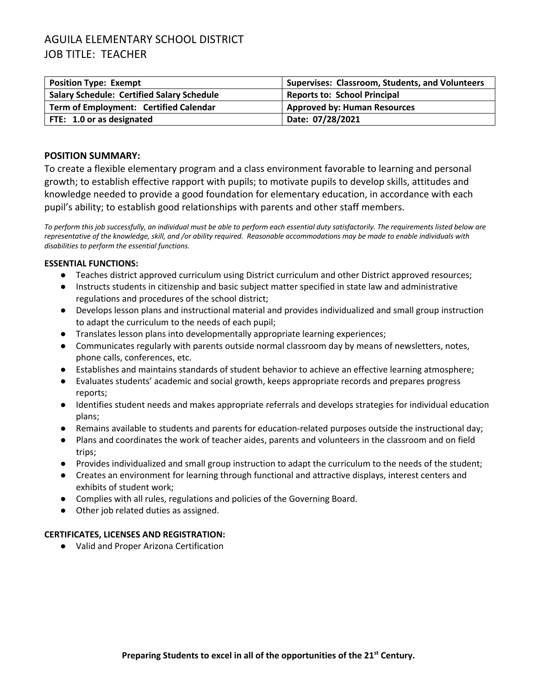# AGUILA ELEMENTARY SCHOOL DISTRICT JOB TITLE: TEACHER

| <b>Position Type: Exempt</b>                      | Supervises: Classroom, Students, and Volunteers |
|---------------------------------------------------|-------------------------------------------------|
| <b>Salary Schedule: Certified Salary Schedule</b> | <b>Reports to: School Principal</b>             |
| Term of Employment: Certified Calendar            | <b>Approved by: Human Resources</b>             |
| FTE: 1.0 or as designated                         | Date: 07/28/2021                                |

## **POSITION SUMMARY:**

To create a flexible elementary program and a class environment favorable to learning and personal growth; to establish effective rapport with pupils; to motivate pupils to develop skills, attitudes and knowledge needed to provide a good foundation for elementary education, in accordance with each pupil's ability; to establish good relationships with parents and other staff members.

*To perform this job successfully, an individual must be able to perform each essential duty satisfactorily. The requirements listed below are representative of the knowledge, skill, and /or ability required. Reasonable accommodations may be made to enable individuals with disabilities to perform the essential functions.*

### **ESSENTIAL FUNCTIONS:**

- Teaches district approved curriculum using District curriculum and other District approved resources;
- Instructs students in citizenship and basic subject matter specified in state law and administrative regulations and procedures of the school district;
- Develops lesson plans and instructional material and provides individualized and small group instruction to adapt the curriculum to the needs of each pupil;
- Translates lesson plans into developmentally appropriate learning experiences;
- Communicates regularly with parents outside normal classroom day by means of newsletters, notes, phone calls, conferences, etc.
- Establishes and maintains standards of student behavior to achieve an effective learning atmosphere;
- Evaluates students' academic and social growth, keeps appropriate records and prepares progress reports;
- Identifies student needs and makes appropriate referrals and develops strategies for individual education plans;
- Remains available to students and parents for education-related purposes outside the instructional day;
- Plans and coordinates the work of teacher aides, parents and volunteers in the classroom and on field trips;
- Provides individualized and small group instruction to adapt the curriculum to the needs of the student;
- Creates an environment for learning through functional and attractive displays, interest centers and exhibits of student work;
- Complies with all rules, regulations and policies of the Governing Board.
- Other job related duties as assigned.

## **CERTIFICATES, LICENSES AND REGISTRATION:**

● Valid and Proper Arizona Certification